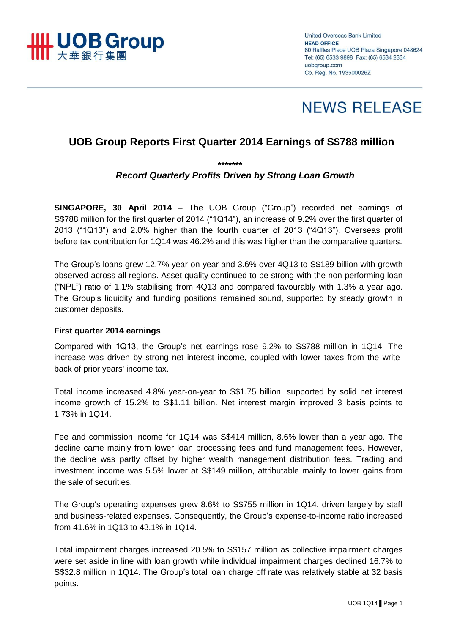

**United Overseas Bank Limited HEAD OFFICE** 80 Raffles Place UOB Plaza Singapore 048624 Tel: (65) 6533 9898 Fax: (65) 6534 2334 uobaroup.com Co. Reg. No. 193500026Z

# **NEWS RELEASE**

## **UOB Group Reports First Quarter 2014 Earnings of S\$788 million**

*\*\*\*\*\*\*\**

#### *Record Quarterly Profits Driven by Strong Loan Growth*

**SINGAPORE, 30 April 2014** – The UOB Group ("Group") recorded net earnings of S\$788 million for the first quarter of 2014 ("1Q14"), an increase of 9.2% over the first quarter of 2013 ("1Q13") and 2.0% higher than the fourth quarter of 2013 ("4Q13"). Overseas profit before tax contribution for 1Q14 was 46.2% and this was higher than the comparative quarters.

The Group's loans grew 12.7% year-on-year and 3.6% over 4Q13 to S\$189 billion with growth observed across all regions. Asset quality continued to be strong with the non-performing loan ("NPL") ratio of 1.1% stabilising from 4Q13 and compared favourably with 1.3% a year ago. The Group's liquidity and funding positions remained sound, supported by steady growth in customer deposits.

#### **First quarter 2014 earnings**

Compared with 1Q13, the Group's net earnings rose 9.2% to S\$788 million in 1Q14. The increase was driven by strong net interest income, coupled with lower taxes from the writeback of prior years' income tax.

Total income increased 4.8% year-on-year to S\$1.75 billion, supported by solid net interest income growth of 15.2% to S\$1.11 billion. Net interest margin improved 3 basis points to 1.73% in 1Q14.

Fee and commission income for 1Q14 was S\$414 million, 8.6% lower than a year ago. The decline came mainly from lower loan processing fees and fund management fees. However, the decline was partly offset by higher wealth management distribution fees. Trading and investment income was 5.5% lower at S\$149 million, attributable mainly to lower gains from the sale of securities.

The Group's operating expenses grew 8.6% to S\$755 million in 1Q14, driven largely by staff and business-related expenses. Consequently, the Group's expense-to-income ratio increased from 41.6% in 1Q13 to 43.1% in 1Q14.

Total impairment charges increased 20.5% to S\$157 million as collective impairment charges were set aside in line with loan growth while individual impairment charges declined 16.7% to S\$32.8 million in 1Q14. The Group's total loan charge off rate was relatively stable at 32 basis points.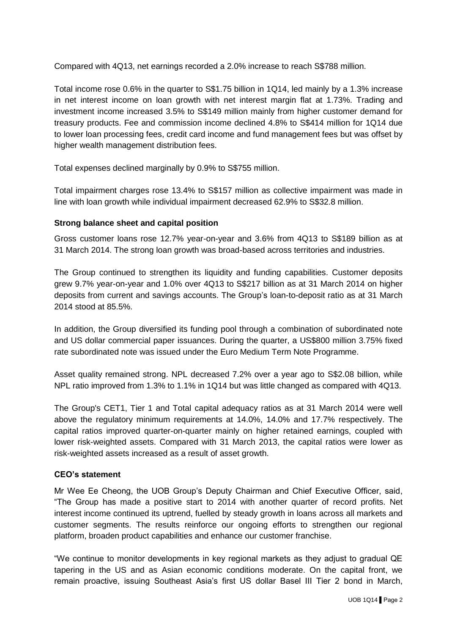Compared with 4Q13, net earnings recorded a 2.0% increase to reach S\$788 million.

Total income rose 0.6% in the quarter to S\$1.75 billion in 1Q14, led mainly by a 1.3% increase in net interest income on loan growth with net interest margin flat at 1.73%. Trading and investment income increased 3.5% to S\$149 million mainly from higher customer demand for treasury products. Fee and commission income declined 4.8% to S\$414 million for 1Q14 due to lower loan processing fees, credit card income and fund management fees but was offset by higher wealth management distribution fees.

Total expenses declined marginally by 0.9% to S\$755 million.

Total impairment charges rose 13.4% to S\$157 million as collective impairment was made in line with loan growth while individual impairment decreased 62.9% to S\$32.8 million.

#### **Strong balance sheet and capital position**

Gross customer loans rose 12.7% year-on-year and 3.6% from 4Q13 to S\$189 billion as at 31 March 2014. The strong loan growth was broad-based across territories and industries.

The Group continued to strengthen its liquidity and funding capabilities. Customer deposits grew 9.7% year-on-year and 1.0% over 4Q13 to S\$217 billion as at 31 March 2014 on higher deposits from current and savings accounts. The Group's loan-to-deposit ratio as at 31 March 2014 stood at 85.5%.

In addition, the Group diversified its funding pool through a combination of subordinated note and US dollar commercial paper issuances. During the quarter, a US\$800 million 3.75% fixed rate subordinated note was issued under the Euro Medium Term Note Programme.

Asset quality remained strong. NPL decreased 7.2% over a year ago to S\$2.08 billion, while NPL ratio improved from 1.3% to 1.1% in 1Q14 but was little changed as compared with 4Q13.

The Group's CET1, Tier 1 and Total capital adequacy ratios as at 31 March 2014 were well above the regulatory minimum requirements at 14.0%, 14.0% and 17.7% respectively. The capital ratios improved quarter-on-quarter mainly on higher retained earnings, coupled with lower risk-weighted assets. Compared with 31 March 2013, the capital ratios were lower as risk-weighted assets increased as a result of asset growth.

### **CEO's statement**

Mr Wee Ee Cheong, the UOB Group's Deputy Chairman and Chief Executive Officer, said, "The Group has made a positive start to 2014 with another quarter of record profits. Net interest income continued its uptrend, fuelled by steady growth in loans across all markets and customer segments. The results reinforce our ongoing efforts to strengthen our regional platform, broaden product capabilities and enhance our customer franchise.

"We continue to monitor developments in key regional markets as they adjust to gradual QE tapering in the US and as Asian economic conditions moderate. On the capital front, we remain proactive, issuing Southeast Asia's first US dollar Basel III Tier 2 bond in March,